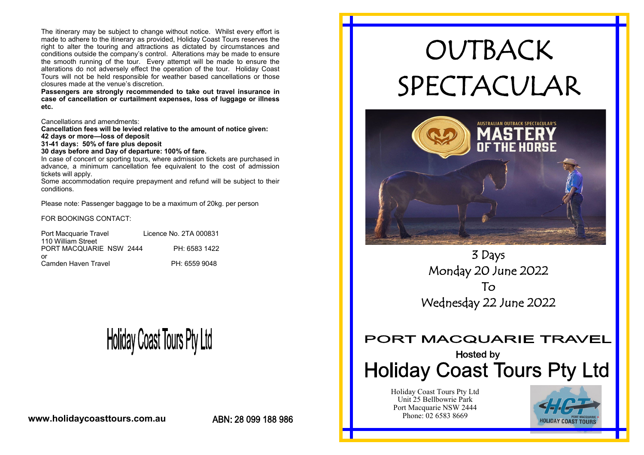The itinerary may be subject to change without notice. Whilst every effort is made to adhere to the itinerary as provided, Holiday Coast Tours reserves the right to alter the touring and attractions as dictated by circumstances and conditions outside the company's control. Alterations may be made to ensure the smooth running of the tour. Every attempt will be made to ensure the alterations do not adversely effect the operation of the tour. Holiday Coast Tours will not be held responsible for weather based cancellations or those closures made at the venue's discretion.

**Passengers are strongly recommended to take out travel insurance in case of cancellation or curtailment expenses, loss of luggage or illness etc.** 

Cancellations and amendments:

**Cancellation fees will be levied relative to the amount of notice given:**

**42 days or more—loss of deposit 31-41 days: 50% of fare plus deposit**

**30 days before and Day of departure: 100% of fare.**

In case of concert or sporting tours, where admission tickets are purchased in advance, a minimum cancellation fee equivalent to the cost of admission tickets will apply.

Some accommodation require prepayment and refund will be subject to their conditions.

Please note: Passenger baggage to be a maximum of 20kg. per person

FOR BOOKINGS CONTACT:

| Port Macquarie Travel   | Licence No. 2TA 000831 |
|-------------------------|------------------------|
| 110 William Street      |                        |
| PORT MACQUARIE NSW 2444 | PH: 6583 1422          |
| or                      |                        |
| Camden Haven Travel     | PH: 6559 9048          |

## **Holiday Coast Tours Pty Ltd**

**www.holidaycoasttours.com.au**

ABN: 28 099 188 986

# OUTBACK SPECTACULAR



3 Days Monday 20 June 2022 To Wednesday 22 June 2022

## PORT MACQUARIE TRAVEL

## Hosted by **Holiday Coast Tours Pty Ltd**

Holiday Coast Tours Pty Ltd Unit 25 Bellbowrie Park Port Macquarie NSW 2444 Phone: 02 6583 8669